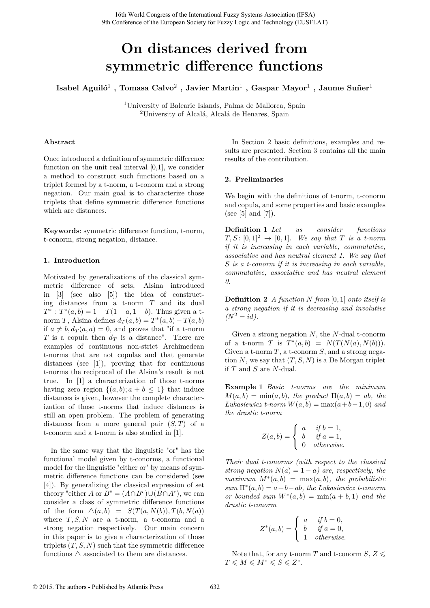# **On distances derived from symmetric difference functions**

 $\rm Isabel\ Aguli\o^1\ ,\ Tomasa\ Calvo^2\ ,\ Javier\ Martín^1\ ,\ Gaspar\ Mayor^1\ ,\ Jaume\ Suñer^1$ 

<sup>1</sup>University of Balearic Islands, Palma de Mallorca, Spain <sup>2</sup>University of Alcalá, Alcalá de Henares, Spain

# **Abstract**

Once introduced a definition of symmetric difference function on the unit real interval  $[0,1]$ , we consider a method to construct such functions based on a triplet formed by a t-norm, a t-conorm and a strong negation. Our main goal is to characterize those triplets that define symmetric difference functions which are distances.

**Keywords**: symmetric difference function, t-norm, t-conorm, strong negation, distance.

# **1. Introduction**

Motivated by generalizations of the classical symmetric difference of sets, Alsina introduced in [3] (see also [5]) the idea of constructing distances from a t-norm *T* and its dual  $T^*$ :  $T^*(a, b) = 1 - T(1 - a, 1 - b)$ . Thus given a tnorm *T*, Alsina defines  $d_T(a, b) = T^*(a, b) - T(a, b)$ if  $a \neq b, d_T(a, a) = 0$ , and proves that "if a t-norm" *T* is a copula then  $d_T$  is a distance". There are examples of continuous non-strict Archimedean t-norms that are not copulas and that generate distances (see [1]), proving that for continuous t-norms the reciprocal of the Alsina's result is not true. In [1] a characterization of those t-norms having zero region  $\{(a, b); a + b \leq 1\}$  that induce distances is given, however the complete characterization of those t-norms that induce distances is still an open problem. The problem of generating distances from a more general pair (*S, T*) of a t-conorm and a t-norm is also studied in [1].

In the same way that the linguistic "or" has the functional model given by t-conorms, a functional model for the linguistic "either or" by means of symmetric difference functions can be considered (see [4]). By generalizing the classical expression of set theory "either *A* or  $B'' = (A \cap B^c) \cup (B \cap A^c)$ , we can consider a class of symmetric difference functions of the form  $\Delta(a, b) = S(T(a, N(b)), T(b, N(a))$ where  $T, S, N$  are a t-norm, a t-conorm and a strong negation respectively. Our main concern in this paper is to give a characterization of those triplets  $(T, S, N)$  such that the symmetric difference functions  $\triangle$  associated to them are distances.

In Section 2 basic definitions, examples and results are presented. Section 3 contains all the main results of the contribution.

# **2. Preliminaries**

We begin with the definitions of t-norm, t-conorm and copula, and some properties and basic examples (see [5] and [7]).

**Definition 1** *Let us consider functions*  $T, S: [0, 1]^2 \rightarrow [0, 1]$ *. We say that T is a t-norm if it is increasing in each variable, commutative, associative and has neutral element 1. We say that S is a t-conorm if it is increasing in each variable, commutative, associative and has neutral element 0.*

**Definition 2** *A function N from* [0*,* 1] *onto itself is a strong negation if it is decreasing and involutive*  $(N^2 = id)$ .

Given a strong negation *N*, the *N*-dual t-conorm of a t-norm *T* is  $T^*(a, b) = N(T(N(a), N(b))).$ Given a t-norm *T*, a t-conorm *S*, and a strong negation  $N$ , we say that  $(T, S, N)$  is a De Morgan triplet if *T* and *S* are *N*-dual.

**Example 1** *Basic t-norms are the minimum*  $M(a, b) = \min(a, b)$ *, the product*  $\Pi(a, b) = ab$ *, the*  $Lukasiewicz$  *t-norm*  $W(a, b) = \max(a+b-1, 0)$  *and the drastic t-norm*

$$
Z(a,b) = \begin{cases} a & \text{if } b = 1, \\ b & \text{if } a = 1, \\ 0 & \text{otherwise.} \end{cases}
$$

*Their dual t-conorms (with respect to the classical strong negation*  $N(a) = 1 - a$ *) are, respectively, the*  $maximum M^*(a, b) = max(a, b)$ *, the probabilistic sum* Π<sup>∗</sup> (*a, b*) = *a*+*b*−*ab, the Łukasiewicz t-conorm or bounded sum*  $W^*(a, b) = \min(a + b, 1)$  *and the drastic t-conorm*

$$
Z^*(a,b) = \begin{cases} a & \text{if } b = 0, \\ b & \text{if } a = 0, \\ 1 & \text{otherwise.} \end{cases}
$$

Note that, for any t-norm *T* and t-conorm *S*,  $Z \leq$  $T \leqslant M \leqslant M^* \leqslant S \leqslant Z^*$ .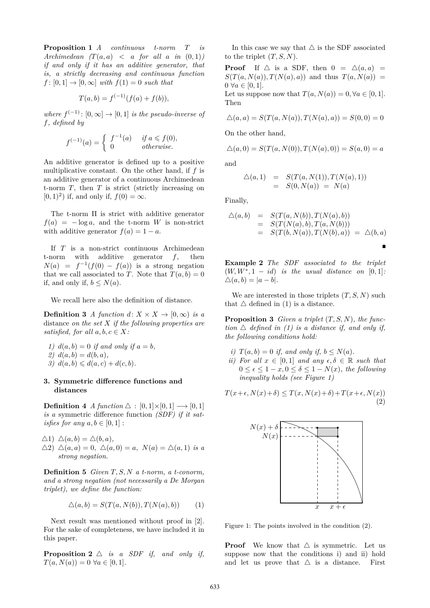**Proposition 1** *A continuous t-norm T is* Archimedean  $(T(a, a) < a$  *for all*  $a$  *in*  $(0, 1)$ *) if and only if it has an additive generator, that is, a strictly decreasing and continuous function*  $f: [0, 1] \rightarrow [0, \infty]$  *with*  $f(1) = 0$  *such that* 

$$
T(a,b) = f^{(-1)}(f(a) + f(b)),
$$

*where*  $f^{(-1)}$ :  $[0, \infty] \rightarrow [0, 1]$  *is the pseudo-inverse of f, defined by*

$$
f^{(-1)}(a) = \begin{cases} f^{-1}(a) & \text{if } a \leq f(0), \\ 0 & \text{otherwise.} \end{cases}
$$

An additive generator is defined up to a positive multiplicative constant. On the other hand, if *f* is an additive generator of a continuous Archimedean t-norm *T*, then *T* is strict (strictly increasing on  $(0, 1)^2$  if, and only if,  $f(0) = \infty$ .

The t-norm Π is strict with additive generator  $f(a) = -\log a$ , and the t-norm *W* is non-strict with additive generator  $f(a) = 1 - a$ .

If *T* is a non-strict continuous Archimedean t-norm with additive generator *f*, then  $N(a) = f^{-1}(f(0) - f(a))$  is a strong negation that we call associated to *T*. Note that  $T(a, b) = 0$ if, and only if,  $b \leq N(a)$ .

We recall here also the definition of distance.

**Definition 3** *A* function  $d: X \times X \rightarrow [0, \infty)$  is a distance *on the set X if the following properties are satisfied, for all*  $a, b, c \in X$ *:* 

*1)*  $d(a, b) = 0$  *if and only if*  $a = b$ *,*  $2) d(a, b) = d(b, a)$ , *3*)  $d(a, b) \leq d(a, c) + d(c, b)$ .

## **3. Symmetric difference functions and distances**

**Definition 4** *A* function  $\triangle$  :  $[0,1] \times [0,1] \longrightarrow [0,1]$ *is a* symmetric difference function *(SDF) if it satisfies for any*  $a, b \in [0, 1]$ :

- $\triangle$ 1)  $\triangle$ (*a*, *b*) =  $\triangle$ (*b*, *a*),
- $\triangle$ 2)  $\triangle$ (*a*, *a*) = 0,  $\triangle$ (*a*, 0) = *a*,  $N$ (*a*) =  $\triangle$ (*a*, 1) *is a strong negation.*

**Definition 5** *Given T, S, N a t-norm, a t-conorm, and a strong negation (not necessarily a De Morgan triplet), we define the function:*

$$
\Delta(a, b) = S(T(a, N(b)), T(N(a), b)) \tag{1}
$$

Next result was mentioned without proof in [2]. For the sake of completeness, we have included it in this paper.

**Proposition 2**  $\triangle$  *is a SDF if, and only if,*  $T(a, N(a)) = 0 \ \forall a \in [0, 1].$ 

In this case we say that  $\bigtriangleup$  is the SDF associated to the triplet  $(T, S, N)$ .

**Proof** If  $\triangle$  is a SDF, then  $0 = \triangle(a, a)$  $S(T(a, N(a)), T(N(a), a))$  and thus  $T(a, N(a))$  =  $0 \ \forall a \in [0, 1].$ Let us suppose now that  $T(a, N(a)) = 0, \forall a \in [0, 1].$ Then

$$
\triangle(a, a) = S(T(a, N(a)), T(N(a), a)) = S(0, 0) = 0
$$

On the other hand,

$$
\Delta(a,0) = S(T(a,N(0)),T(N(a),0)) = S(a,0) = a
$$

and

$$
\Delta(a,1) = S(T(a,N(1)),T(N(a),1)) = S(0,N(a)) = N(a)
$$

Finally,

$$
\Delta(a,b) = S(T(a, N(b)), T(N(a), b)) \n= S(T(N(a), b), T(a, N(b))) \n= S(T(b, N(a)), T(N(b), a)) = \Delta(b, a)
$$

**Example 2** *The SDF associated to the triplet*  $(W, W^*, 1 - id)$  *is the usual distance on* [0, 1]:  $\Delta(a, b) = |a - b|$ .

We are interested in those triplets  $(T, S, N)$  such that  $\triangle$  defined in (1) is a distance.

**Proposition 3** *Given a triplet* (*T, S, N*)*, the function*  $\triangle$  *defined in (1) is a distance if, and only if, the following conditions hold:*

- *i*)  $T(a, b) = 0$  *if, and only if,*  $b \le N(a)$ *.*
- *ii)* For all  $x \in [0,1]$  and any  $\epsilon, \delta \in \mathbb{R}$  such that  $0 \leq \epsilon \leq 1-x, 0 \leq \delta \leq 1-N(x)$ , the following *inequality holds (see Figure 1)*

$$
T(x+\epsilon, N(x)+\delta) \le T(x, N(x)+\delta) + T(x+\epsilon, N(x))
$$
\n(2)



Figure 1: The points involved in the condition (2).

**Proof** We know that  $\triangle$  is symmetric. Let us suppose now that the conditions i) and ii) hold and let us prove that  $\triangle$  is a distance. First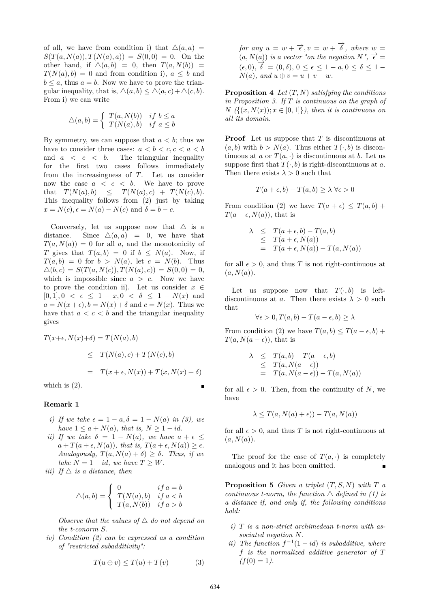of all, we have from condition i) that  $\Delta(a, a)$  =  $S(T(a, N(a)), T(N(a), a)) = S(0, 0) = 0.$  On the other hand, if  $\Delta(a, b) = 0$ , then  $T(a, N(b)) =$  $T(N(a), b) = 0$  and from condition i),  $a \leq b$  and  $b \leq a$ , thus  $a = b$ . Now we have to prove the triangular inequality, that is,  $\Delta(a, b) \leq \Delta(a, c) + \Delta(c, b)$ . From i) we can write

$$
\triangle(a,b) = \begin{cases} T(a,N(b)) & \text{if } b \le a \\ T(N(a),b) & \text{if } a \le b \end{cases}
$$

By symmetry, we can suppose that  $a < b$ ; thus we have to consider three cases:  $a < b < c, c < a < b$ and  $a \leq c \leq b$ . The triangular inequality for the first two cases follows immediately from the increasingness of *T*. Let us consider now the case *a < c < b*. We have to prove that  $T(N(a), b) \leq T(N(a), c) + T(N(c), b).$ This inequality follows from (2) just by taking  $x = N(c), \epsilon = N(a) - N(c)$  and  $\delta = b - c$ .

Conversely, let us suppose now that  $\triangle$  is a distance. Since  $\Delta(a, a) = 0$ , we have that  $T(a, N(a)) = 0$  for all *a*, and the monotonicity of *T* gives that  $T(a, b) = 0$  if  $b \leq N(a)$ . Now, if  $T(a, b) = 0$  for  $b > N(a)$ , let  $c = N(b)$ . Thus  $\Delta(b, c) = S(T(a, N(c)), T(N(a), c)) = S(0, 0) = 0,$ which is impossible since  $a > c$ . Now we have to prove the condition ii). Let us consider  $x \in$  $[0,1], 0 < \epsilon \leq 1 - x, 0 < \delta \leq 1 - N(x)$  and  $a = N(x + \epsilon)$ ,  $b = N(x) + \delta$  and  $c = N(x)$ . Thus we have that  $a < c < b$  and the triangular inequality gives

$$
T(x+\epsilon, N(x)+\delta) = T(N(a), b)
$$
  
\n
$$
\leq T(N(a), c) + T(N(c), b)
$$
  
\n
$$
= T(x + \epsilon, N(x)) + T(x, N(x) + \delta)
$$

which is  $(2)$ .

#### **Remark 1**

- *i)* If we take  $\epsilon = 1 a$ ,  $\delta = 1 N(a)$  *in (3), we have*  $1 \leq a + N(a)$ *, that is,*  $N \geq 1 - id$ *.*
- *ii)* If we take  $\delta = 1 N(a)$ , we have  $a + \epsilon \leq$  $a + T(a + \epsilon, N(a))$ *, that is,*  $T(a + \epsilon, N(a)) \geq \epsilon$ *. Analogously,*  $T(a, N(a) + \delta) \geq \delta$ *. Thus, if we take*  $N = 1 - id$ *, we have*  $T \geq W$ *.*
- *iii)* If  $\triangle$  *is a distance, then*

$$
\triangle(a,b) = \begin{cases} 0 & if a=b\\ T(N(a),b) & if a < b\\ T(a,N(b)) & if a > b \end{cases}
$$

*Observe that the values of*  $\triangle$  *do not depend on the t-conorm S.*

*iv) Condition (2) can be expressed as a condition of "restricted subadditivity":*

$$
T(u \oplus v) \le T(u) + T(v) \tag{3}
$$

*for any*  $u = w + \overrightarrow{\epsilon}, v = w + \overrightarrow{\delta}$ , where  $w =$  $(a, N(a))$  is a vector "on the negation  $N'$ ,  $\overrightarrow{\epsilon} =$  $(\epsilon, 0), \overrightarrow{\delta} = (0, \delta), 0 \le \epsilon \le 1 - a, 0 \le \delta \le 1 - b$  $N(a)$ *, and*  $u \oplus v = u + v - w$ *.* 

**Proposition 4** *Let* (*T, N*) *satisfying the conditions in Proposition 3. If T is continuous on the graph of*  $N \left( \{(x, N(x)) : x \in [0,1] \} \right)$ , then it is continuous on *all its domain.*

**Proof** Let us suppose that *T* is discontinuous at  $(a, b)$  with  $b > N(a)$ . Thus either  $T(\cdot, b)$  is discontinuous at *a* or  $T(a, \cdot)$  is discontinuous at *b*. Let us suppose first that  $T(\cdot, b)$  is right-discontinuous at *a*. Then there exists  $\lambda > 0$  such that

$$
T(a+\epsilon, b) - T(a, b) \ge \lambda \ \forall \epsilon > 0
$$

From condition (2) we have  $T(a + \epsilon) \leq T(a, b) +$  $T(a + \epsilon, N(a))$ , that is

$$
\begin{array}{rcl}\n\lambda & \leq & T(a + \epsilon, b) - T(a, b) \\
& \leq & T(a + \epsilon, N(a)) \\
& = & T(a + \epsilon, N(a)) - T(a, N(a))\n\end{array}
$$

for all  $\epsilon > 0$ , and thus *T* is not right-continuous at  $(a, N(a))$ .

Let us suppose now that  $T(\cdot, b)$  is leftdiscontinuous at *a*. Then there exists  $\lambda > 0$  such that

$$
\forall \epsilon > 0, T(a, b) - T(a - \epsilon, b) \ge \lambda
$$

From condition (2) we have  $T(a, b) \leq T(a - \epsilon, b) +$  $T(a, N(a - \epsilon))$ , that is

$$
\begin{array}{rcl}\n\lambda & \leq & T(a, b) - T(a - \epsilon, b) \\
& \leq & T(a, N(a - \epsilon)) \\
& = & T(a, N(a - \epsilon)) - T(a, N(a))\n\end{array}
$$

for all  $\epsilon > 0$ . Then, from the continuity of N, we have

$$
\lambda \leq T(a, N(a) + \epsilon)) - T(a, N(a))
$$

for all  $\epsilon > 0$ , and thus *T* is not right-continuous at  $(a, N(a))$ .

The proof for the case of  $T(a, \cdot)$  is completely analogous and it has been omitted.

**Proposition 5** *Given a triplet*  $(T, S, N)$  *with*  $T$  *a continuous t-norm, the function*  $\triangle$  *defined in (1) is a distance if, and only if, the following conditions hold:*

- *i) T is a non-strict archimedean t-norm with associated negation N.*
- *ii*) The function  $f^{-1}(1 id)$  *is subadditive, where f is the normalized additive generator of T*  $(f(0) = 1)$ .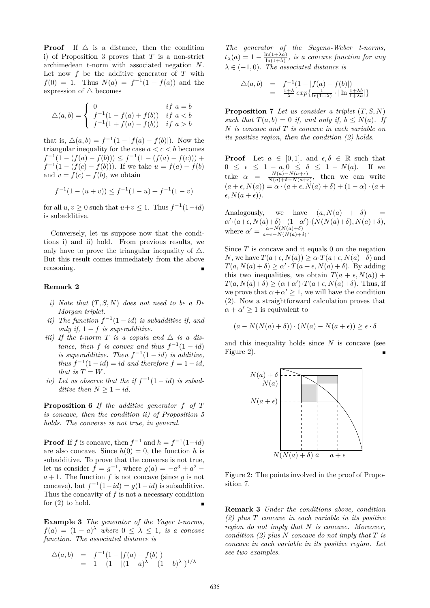**Proof** If  $\triangle$  is a distance, then the condition i) of Proposition 3 proves that *T* is a non-strict archimedean t-norm with associated negation *N*. Let now *f* be the additive generator of *T* with  $f(0) = 1$ . Thus  $N(a) = f^{-1}(1 - f(a))$  and the expression of  $\triangle$  becomes

$$
\triangle(a,b) = \begin{cases} 0 & \text{if } a=b\\ f^{-1}(1-f(a)+f(b)) & \text{if } a < b\\ f^{-1}(1+f(a)-f(b)) & \text{if } a > b \end{cases}
$$

that is,  $\Delta(a, b) = f^{-1}(1 - |f(a) - f(b)|)$ . Now the triangular inequality for the case  $a < c < b$  becomes  $f^{-1}(1 - (f(a) - f(b))) \leq f^{-1}(1 - (f(a) - f(c))) +$  $f^{-1}(1 - (f(c) - f(b)))$ . If we take  $u = f(a) - f(b)$ and  $v = f(c) - f(b)$ , we obtain

$$
f^{-1}(1 - (u + v)) \le f^{-1}(1 - u) + f^{-1}(1 - v)
$$

for all  $u, v \geq 0$  such that  $u + v \leq 1$ . Thus  $f^{-1}(1 - id)$ is subadditive.

Conversely, let us suppose now that the conditions i) and ii) hold. From previous results, we only have to prove the triangular inequality of  $\triangle$ . But this result comes immediately from the above reasoning.

## **Remark 2**

- *i) Note that* (*T, S, N*) *does not need to be a De Morgan triplet.*
- *ii)* The function  $f^{-1}(1 id)$  *is subadditive if, and only if,*  $1 - f$  *is superadditive.*
- *iii)* If the t-norm T is a copula and  $\triangle$  is a dis*tance, then f is convex and thus*  $f^{-1}(1 - id)$ *is superadditive.* Then  $f^{-1}(1 - id)$  *is additive, thus*  $f^{-1}(1 - id) = id$  *and therefore*  $f = 1 - id$ *, that is*  $T = W$ *.*
- *iv*) Let us observe that the if  $f^{-1}(1 id)$  is subad*ditive then*  $N \geq 1 - id$ *.*

**Proposition 6** *If the additive generator f of T is concave, then the condition ii) of Proposition 5 holds. The converse is not true, in general.*

**Proof** If *f* is concave, then  $f^{-1}$  and  $h = f^{-1}(1 - id)$ are also concave. Since  $h(0) = 0$ , the function h is subadditive. To prove that the converse is not true, let us consider  $f = g^{-1}$ , where  $g(a) = -a^3 + a^2$  $a + 1$ . The function  $f$  is not concave (since  $g$  is not concave), but  $f^{-1}(1 - id) = g(1 - id)$  is subadditive. Thus the concavity of *f* is not a necessary condition for (2) to hold.

**Example 3** *The generator of the Yager t-norms,*  $f(a) = (1 - a)$ <sup> $\lambda$ </sup> *where*  $0 \leq \lambda \leq 1$ *, is a concave function. The associated distance is*

$$
\begin{array}{rcl}\n\triangle(a,b) & = & f^{-1}(1 - |f(a) - f(b)|) \\
& = & 1 - (1 - |(1 - a)^{\lambda} - (1 - b)^{\lambda}|)^{1/\lambda}\n\end{array}
$$

*The generator of the Sugeno-Weber t-norms,*  $t_{\lambda}(a) = 1 - \frac{\ln(1+\lambda a)}{\ln(1+\lambda)}$  $\frac{\ln(1+\lambda a)}{\ln(1+\lambda)}$ , is a concave function for any  $\lambda \in (-1,0)$ *. The associated distance is* 

$$
\begin{array}{rcl}\n\triangle(a,b) & = & f^{-1}(1 - |f(a) - f(b)|) \\
 & = & \frac{1+\lambda}{\lambda} \exp\{\frac{1}{\ln(1+\lambda)} \cdot |\ln \frac{1+\lambda b}{1+\lambda a}|\}\n\end{array}
$$

**Proposition 7** *Let us consider a triplet* (*T, S, N*) *such that*  $T(a, b) = 0$  *if, and only if,*  $b \leq N(a)$ *. If N is concave and T is concave in each variable on its positive region, then the condition (2) holds.*

**Proof** Let  $a \in [0,1]$ , and  $\epsilon, \delta \in \mathbb{R}$  such that  $0 \leq \epsilon \leq 1 - a, 0 \leq \delta \leq 1 - N(a).$  If we take  $\alpha = \frac{N(a)-N(a+\epsilon)}{N(a)+\delta-N(a+\epsilon)}$  $\frac{N(a)-N(a+\epsilon)}{N(a)+\delta-N(a+\epsilon)},$  then we can write  $(a + \epsilon, N(a)) = \alpha \cdot (a + \epsilon, N(a) + \delta) + (1 - \alpha) \cdot (a + \delta)$  $\epsilon, N(a+\epsilon)$ .

Analogously, we have  $(a, N(a) + \delta)$  $\alpha' \cdot (a+\epsilon, N(a)+\delta) + (1-\alpha') \cdot (N(N(a)+\delta), N(a)+\delta),$ where  $\alpha' = \frac{a - N(N(a) + \delta)}{a + \epsilon - N(N(a) + \delta)}$  $\frac{a-N(N(a)+\delta)}{a+\epsilon-N(N(a)+\delta)}.$ 

Since *T* is concave and it equals 0 on the negation *N*, we have  $T(a+\epsilon, N(a)) > \alpha \cdot T(a+\epsilon, N(a)+\delta)$  and  $T(a, N(a) + \delta) \ge \alpha' \cdot T(a + \epsilon, N(a) + \delta)$ . By adding this two inequalities, we obtain  $T(a + \epsilon, N(a))$  +  $T(a, N(a)+\delta) \geq (\alpha+\alpha') \cdot T(a+\epsilon, N(a)+\delta)$ . Thus, if we prove that  $\alpha + \alpha' \geq 1$ , we will have the condition (2). Now a straightforward calculation proves that  $\alpha + \alpha' \geq 1$  is equivalent to

$$
(a - N(N(a) + \delta)) \cdot (N(a) - N(a + \epsilon)) \ge \epsilon \cdot \delta
$$

and this inequality holds since *N* is concave (see Figure 2).



Figure 2: The points involved in the proof of Proposition 7.

**Remark 3** *Under the conditions above, condition (2) plus T concave in each variable in its positive region do not imply that N is concave. Moreover, condition (2) plus N concave do not imply that T is concave in each variable in its positive region. Let see two examples.*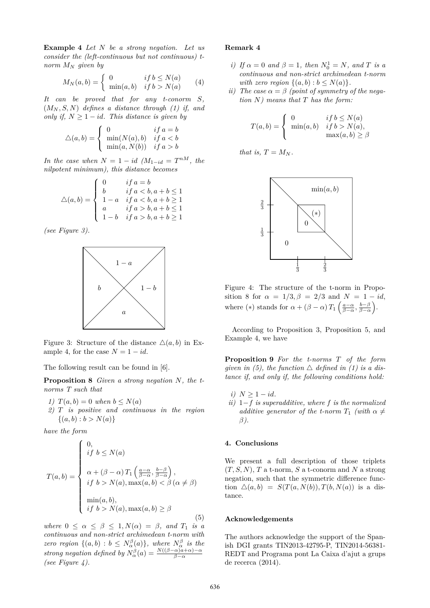**Example 4** *Let N be a strong negation. Let us consider the (left-continuous but not continuous) tnorm M<sup>N</sup> given by*

$$
M_N(a,b) = \begin{cases} 0 & \text{if } b \le N(a) \\ \min(a,b) & \text{if } b > N(a) \end{cases} \tag{4}
$$

*It can be proved that for any t-conorm S,* (*M<sup>N</sup> , S, N*) *defines a distance through (1) if, and only if,*  $N \geq 1 - id$ *. This distance is given by* 

$$
\triangle(a,b) = \begin{cases} 0 & \text{if } a = b \\ \min(N(a),b) & \text{if } a < b \\ \min(a,N(b)) & \text{if } a > b \end{cases}
$$

*In the case when*  $N = 1 - id$   $(M_{1-id} = T^{nM},$  the *nilpotent minimum), this distance becomes*

$$
\triangle(a,b) = \begin{cases}\n0 & \text{if } a = b \\
b & \text{if } a < b, a + b \le 1 \\
1 - a & \text{if } a < b, a + b \ge 1 \\
a & \text{if } a > b, a + b \le 1 \\
1 - b & \text{if } a > b, a + b \ge 1\n\end{cases}
$$

*(see Figure 3).*



Figure 3: Structure of the distance  $\Delta(a, b)$  in Example 4, for the case  $N = 1 - id$ .

The following result can be found in [6].

**Proposition 8** *Given a strong negation N, the tnorms T such that*

- *1)*  $T(a, b) = 0$  *when*  $b \leq N(a)$
- *2) T is positive and continuous in the region*  $\{(a, b) : b > N(a)\}\$

*have the form*

$$
T(a,b) = \begin{cases} 0, & \text{if } b \le N(a) \\ a + (\beta - \alpha) T_1 \left( \frac{a - \alpha}{\beta - \alpha}, \frac{b - \beta}{\beta - \alpha} \right), \\ \text{if } b > N(a), \max(a, b) < \beta \left( \alpha \neq \beta \right) \\ \min(a, b), & \text{if } b > N(a), \max(a, b) \ge \beta \end{cases} \tag{5}
$$

*where*  $0 \le \alpha \le \beta \le 1, N(\alpha) = \beta$ *, and*  $T_1$  *is a continuous and non-strict archimedean t-norm with zero region*  $\{(a, b) : b \leq N_{\alpha}^{\beta}(a)\}$ *, where*  $N_{\alpha}^{\beta}$  *is the strong negation defined by*  $N_{\alpha}^{\beta}(a) = \frac{N((\beta-\alpha)a+\alpha)-\alpha}{\beta-\alpha}$ *(see Figure 4).*

### **Remark 4**

- *i)* If  $\alpha = 0$  and  $\beta = 1$ , then  $N_0^1 = N$ , and T is a *continuous and non-strict archimedean t-norm with zero region*  $\{(a, b) : b \leq N(a)\}.$
- *ii)* The case  $\alpha = \beta$  (point of symmetry of the nega*tion N) means that T has the form:*

$$
T(a,b) = \begin{cases} 0 & \text{if } b \le N(a) \\ \min(a,b) & \text{if } b > N(a), \\ \max(a,b) \ge \beta \end{cases}
$$

*that is,*  $T = M_N$ *.* 



Figure 4: The structure of the t-norm in Proposition 8 for  $\alpha = 1/3, \beta = 2/3$  and  $N = 1 - id$ , where (\*) stands for  $\alpha + (\beta - \alpha) T_1 \left( \frac{a - \alpha}{\beta - \alpha}, \frac{b - \beta}{\beta - \alpha} \right)$ .

According to Proposition 3, Proposition 5, and Example 4, we have

**Proposition 9** *For the t-norms T of the form given in (5), the function*  $\triangle$  *defined in (1) is a distance if, and only if, the following conditions hold:*

*i*)  $N \geq 1 - id$ *. ii)* 1−*f is superadditive, where f is the normalized additive generator of the t-norm*  $T_1$  *(with*  $\alpha \neq$ *β).*

### **4. Conclusions**

We present a full description of those triplets (*T, S, N*), *T* a t-norm, *S* a t-conorm and *N* a strong negation, such that the symmetric difference function  $\Delta(a, b) = S(T(a, N(b)), T(b, N(a))$  is a distance.

## **Acknowledgements**

The authors acknowledge the support of the Spanish DGI grants TIN2013-42795-P, TIN2014-56381- REDT and Programa pont La Caixa d'ajut a grups de recerca (2014).